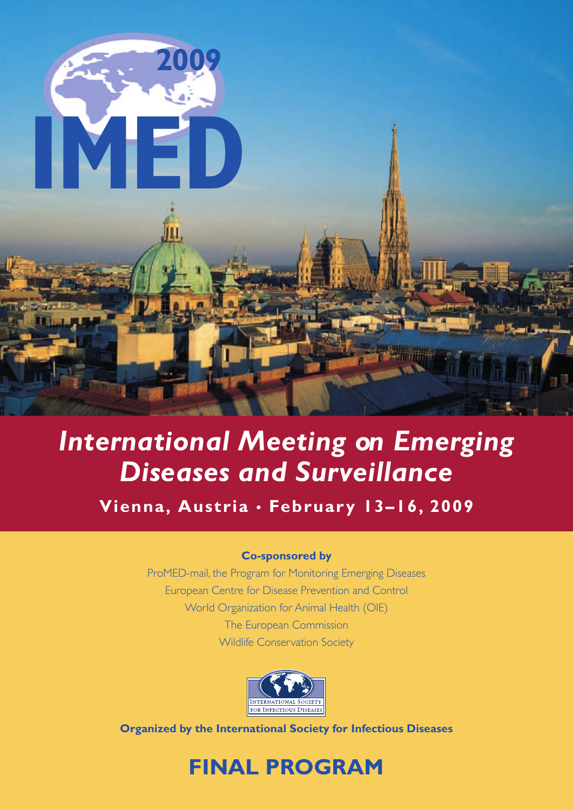

**Vienna, Austria • February 13–16, 2009**

#### **Co-sponsored by**

ProMED-mail, the Program for Monitoring Emerging Diseases European Centre for Disease Prevention and Control World Organization for Animal Health (OIE) The European Commission Wildlife Conservation Society



**Organized by the International Society for Infectious Diseases**

## **FINAL PROGRAM**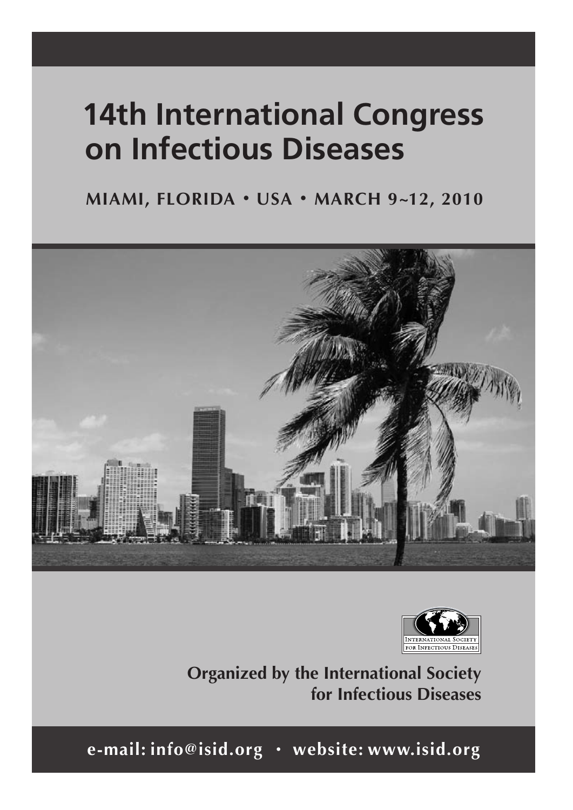# **14th International Congress on Infectious Diseases**

**MIAMI, FLORIDA • USA • MARCH 9~12, 2010**





**Organized by the International Society for Infectious Diseases**

**e-mail: info@isid.org • website: www.isid.org**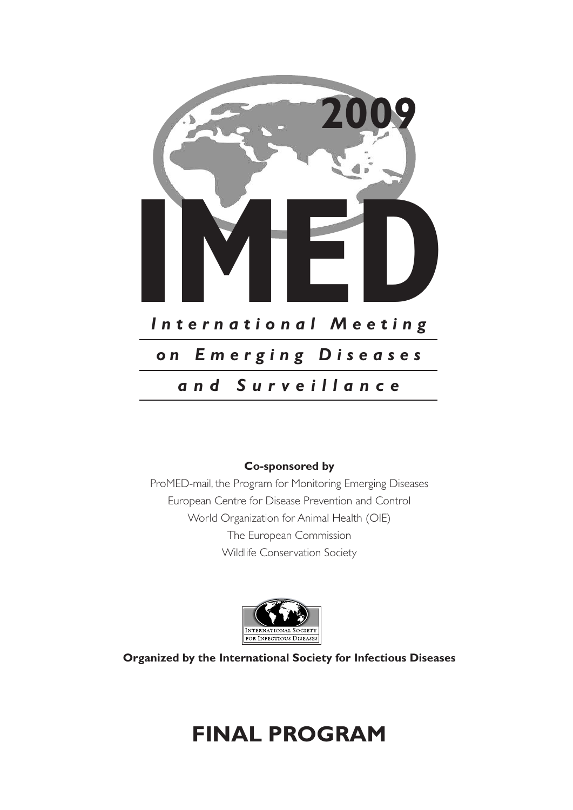

#### **Co-sponsored by**

ProMED-mail, the Program for Monitoring Emerging Diseases European Centre for Disease Prevention and Control World Organization for Animal Health (OIE) The European Commission Wildlife Conservation Society



**Organized by the International Society for Infectious Diseases**

# **FINAL PROGRAM**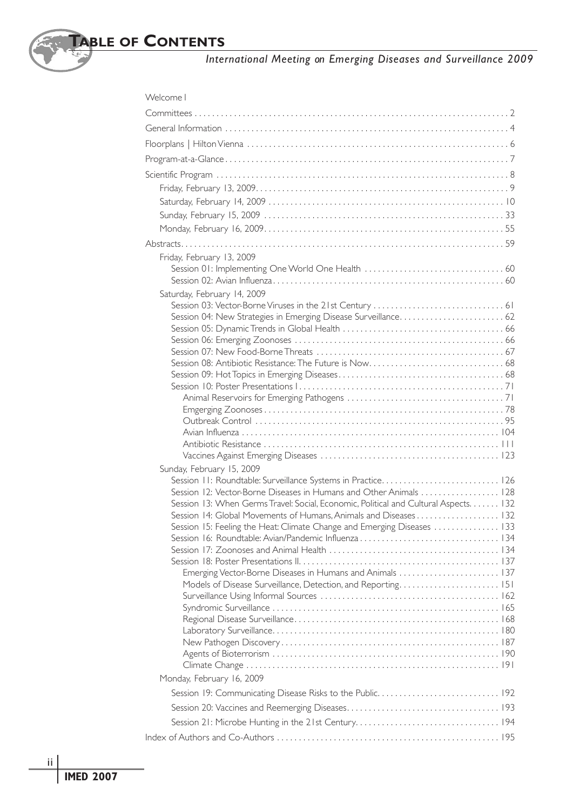| Welcome I                                                                                                                                   |
|---------------------------------------------------------------------------------------------------------------------------------------------|
|                                                                                                                                             |
|                                                                                                                                             |
|                                                                                                                                             |
|                                                                                                                                             |
|                                                                                                                                             |
|                                                                                                                                             |
|                                                                                                                                             |
|                                                                                                                                             |
|                                                                                                                                             |
|                                                                                                                                             |
|                                                                                                                                             |
| Friday, February 13, 2009                                                                                                                   |
|                                                                                                                                             |
| Saturday, February 14, 2009                                                                                                                 |
|                                                                                                                                             |
|                                                                                                                                             |
|                                                                                                                                             |
|                                                                                                                                             |
|                                                                                                                                             |
|                                                                                                                                             |
|                                                                                                                                             |
|                                                                                                                                             |
|                                                                                                                                             |
|                                                                                                                                             |
|                                                                                                                                             |
|                                                                                                                                             |
|                                                                                                                                             |
| Sunday, February 15, 2009                                                                                                                   |
|                                                                                                                                             |
| Session 12: Vector-Borne Diseases in Humans and Other Animals  128                                                                          |
| Session 13: When Germs Travel: Social, Economic, Political and Cultural Aspects. 132                                                        |
| Session 14: Global Movements of Humans, Animals and Diseases 132<br>Session 15: Feeling the Heat: Climate Change and Emerging Diseases  133 |
|                                                                                                                                             |
|                                                                                                                                             |
|                                                                                                                                             |
| Emerging Vector-Borne Diseases in Humans and Animals  137                                                                                   |
|                                                                                                                                             |
|                                                                                                                                             |
|                                                                                                                                             |
|                                                                                                                                             |
|                                                                                                                                             |
|                                                                                                                                             |
|                                                                                                                                             |
| Monday, February 16, 2009                                                                                                                   |
|                                                                                                                                             |
|                                                                                                                                             |
|                                                                                                                                             |
|                                                                                                                                             |
|                                                                                                                                             |

ii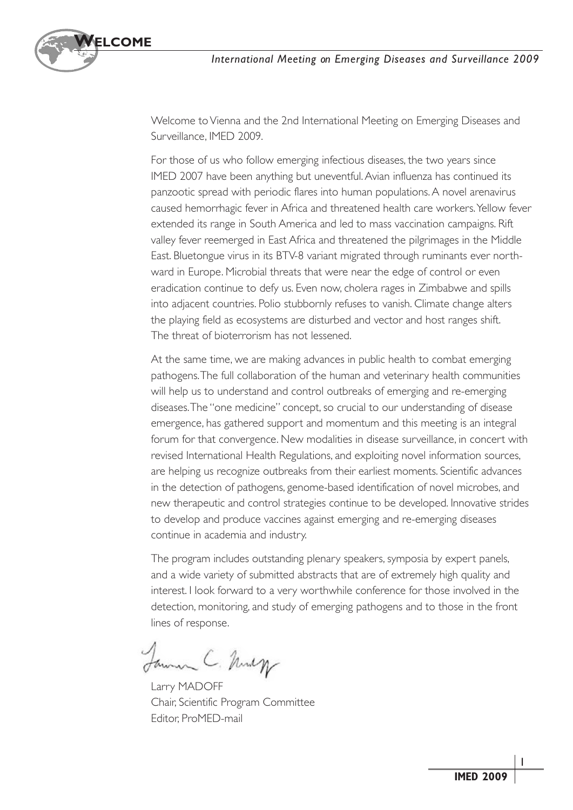

Welcome to Vienna and the 2nd International Meeting on Emerging Diseases and Surveillance, IMED 2009.

For those of us who follow emerging infectious diseases, the two years since IMED 2007 have been anything but uneventful.Avian influenza has continued its panzootic spread with periodic flares into human populations.A novel arenavirus caused hemorrhagic fever in Africa and threatened health care workers. Yellow fever extended its range in South America and led to mass vaccination campaigns. Rift valley fever reemerged in East Africa and threatened the pilgrimages in the Middle East. Bluetongue virus in its BTV-8 variant migrated through ruminants ever northward in Europe. Microbial threats that were near the edge of control or even eradication continue to defy us. Even now, cholera rages in Zimbabwe and spills into adjacent countries. Polio stubbornly refuses to vanish. Climate change alters the playing field as ecosystems are disturbed and vector and host ranges shift. The threat of bioterrorism has not lessened.

At the same time, we are making advances in public health to combat emerging pathogens.The full collaboration of the human and veterinary health communities will help us to understand and control outbreaks of emerging and re-emerging diseases.The "one medicine" concept, so crucial to our understanding of disease emergence, has gathered support and momentum and this meeting is an integral forum for that convergence. New modalities in disease surveillance, in concert with revised International Health Regulations, and exploiting novel information sources, are helping us recognize outbreaks from their earliest moments. Scientific advances in the detection of pathogens, genome-based identification of novel microbes, and new therapeutic and control strategies continue to be developed. Innovative strides to develop and produce vaccines against emerging and re-emerging diseases continue in academia and industry.

The program includes outstanding plenary speakers, symposia by expert panels, and a wide variety of submitted abstracts that are of extremely high quality and interest. I look forward to a very worthwhile conference for those involved in the detection, monitoring, and study of emerging pathogens and to those in the front lines of response.

James C. Musq

Larry MADOFF Chair, Scientific Program Committee Editor, ProMED-mail

1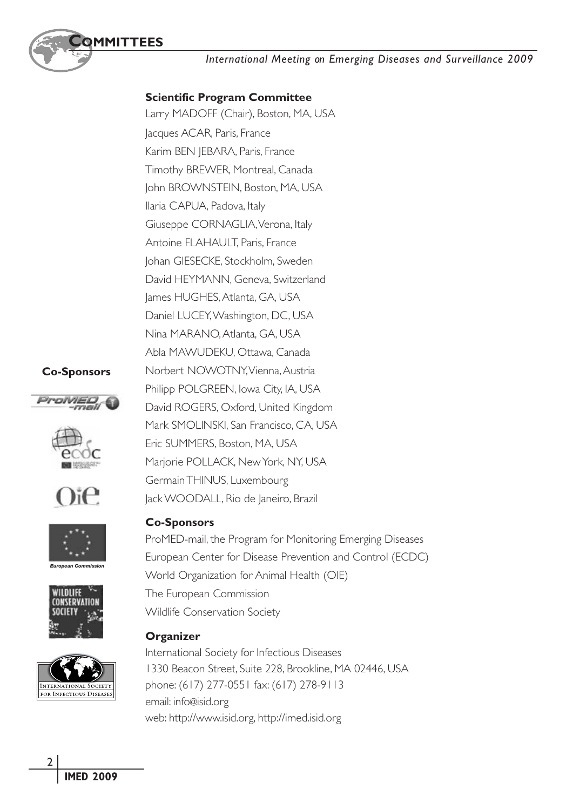

#### **Scientific Program Committee**

Larry MADOFF (Chair), Boston, MA, USA Jacques ACAR, Paris, France Karim BEN JEBARA, Paris, France Timothy BREWER, Montreal, Canada John BROWNSTEIN, Boston, MA, USA Ilaria CAPUA, Padova, Italy Giuseppe CORNAGLIA, Verona, Italy Antoine FLAHAULT, Paris, France Johan GIESECKE, Stockholm, Sweden David HEYMANN, Geneva, Switzerland James HUGHES, Atlanta, GA, USA Daniel LUCEY,Washington, DC, USA Nina MARANO, Atlanta, GA, USA Abla MAWUDEKU, Ottawa, Canada Norbert NOWOTNY,Vienna,Austria Philipp POLGREEN, Iowa City, IA, USA David ROGERS, Oxford, United Kingdom Mark SMOLINSKI, San Francisco, CA, USA Eric SUMMERS, Boston, MA, USA Marjorie POLLACK, NewYork, NY, USA GermainTHINUS, Luxembourg Jack WOODALL, Rio de Janeiro, Brazil

#### **Co-Sponsors**









*European Commission*





#### **Co-Sponsors**

ProMED-mail, the Program for Monitoring Emerging Diseases European Center for Disease Prevention and Control (ECDC) World Organization for Animal Health (OIE) The European Commission Wildlife Conservation Society

#### **Organizer**

International Society for Infectious Diseases 1330 Beacon Street, Suite 228, Brookline, MA 02446, USA phone: (617) 277-0551 fax: (617) 278-9113 email: info@isid.org web: http://www.isid.org, http://imed.isid.org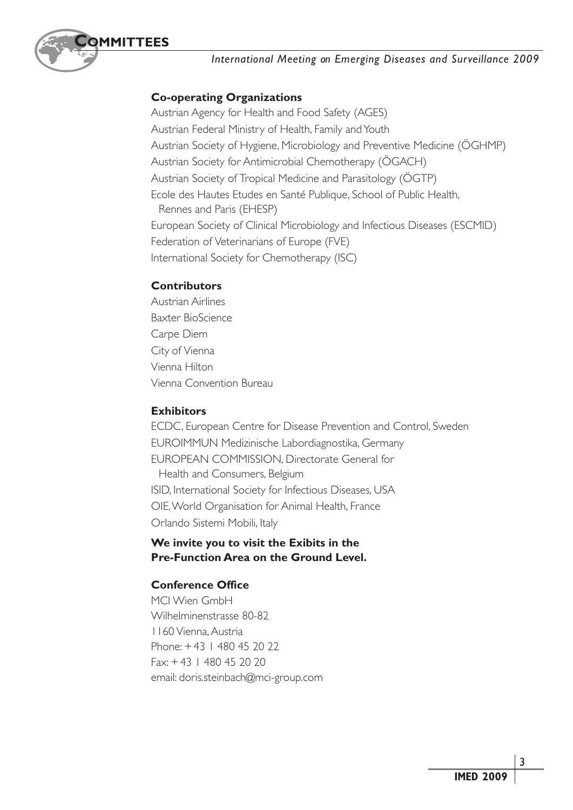

#### **Co-operating Organizations**

Austrian Agency for Health and Food Safety (AGES) Austrian Federal Ministry of Health, Family and Youth Austrian Society of Hygiene, Microbiology and Preventive Medicine (ÖGHMP) Austrian Society for Antimicrobial Chemotherapy (ÖGACH) Austrian Society of Tropical Medicine and Parasitology (ÖGTP) Ecole des Hautes Etudes en Santé Publique, School of Public Health, Rennes and Paris (EHESP) European Society of Clinical Microbiology and Infectious Diseases (ESCMID) Federation of Veterinarians of Europe (FVE) International Society for Chemotherapy (ISC)

#### **Contributors**

Austrian Airlines Baxter BioScience Carpe Diem City of Vienna Vienna Hilton Vienna Convention Bureau

#### **Exhibitors**

ECDC, European Centre for Disease Prevention and Control, Sweden EUROIMMUN Medizinische Labordiagnostika, Germany EUROPEAN COMMISSION, Directorate General for Health and Consumers, Belgium ISID, International Society for Infectious Diseases, USA OIE,World Organisation for Animal Health, France Orlando Sistemi Mobili, Italy

#### **We invite you to visit the Exibits in the Pre-Function Area on the Ground Level.**

#### **Conference Office**

MCI Wien GmbH Wilhelminenstrasse 80-82 1160 Vienna,Austria Phone: + 43 1 480 45 20 22 Fax: + 43 1 480 45 20 20 email: doris.steinbach@mci-group.com

3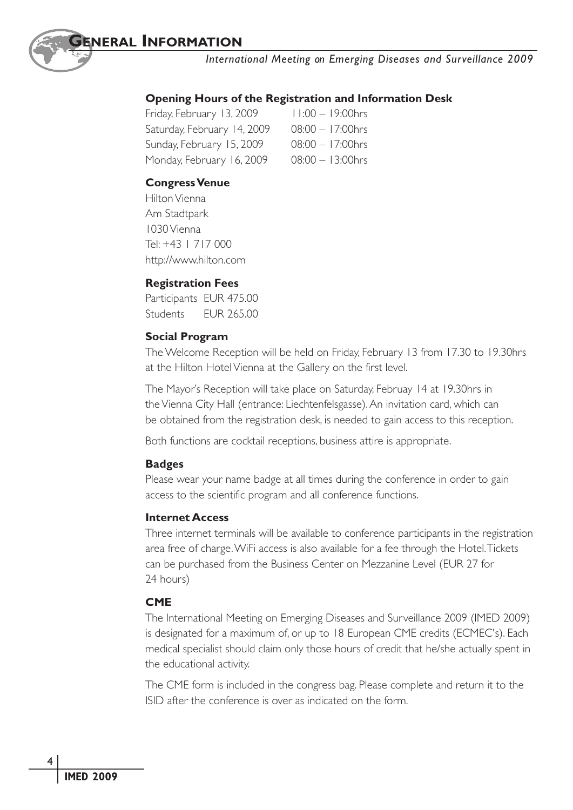

#### **Opening Hours of the Registration and Information Desk**

| Friday, February 13, 2009   | 11:00 - 19:00hrs    |
|-----------------------------|---------------------|
| Saturday, February 14, 2009 | $08:00 - 17:00$ hrs |
| Sunday, February 15, 2009   | $08:00 - 17:00$ hrs |
| Monday, February 16, 2009   | $08:00 - 13:00$ hrs |

#### **Congress Venue**

HiltonVienna Am Stadtpark 1030Vienna Tel: +43 1 717 000 http://www.hilton.com

#### **Registration Fees**

Participants EUR 475.00 Students EUR 265.00

#### **Social Program**

The Welcome Reception will be held on Friday, February 13 from 17.30 to 19.30hrs at the Hilton Hotel Vienna at the Gallery on the first level.

The Mayor's Reception will take place on Saturday, Februay 14 at 19.30hrs in theVienna City Hall (entrance: Liechtenfelsgasse).An invitation card, which can be obtained from the registration desk, is needed to gain access to this reception.

Both functions are cocktail receptions, business attire is appropriate.

#### **Badges**

Please wear your name badge at all times during the conference in order to gain access to the scientific program and all conference functions.

#### **Internet Access**

Three internet terminals will be available to conference participants in the registration area free of charge.WiFi access is also available for a fee through the Hotel.Tickets can be purchased from the Business Center on Mezzanine Level (EUR 27 for 24 hours)

#### **CME**

The International Meeting on Emerging Diseases and Surveillance 2009 (IMED 2009) is designated for a maximum of, or up to 18 European CME credits (ECMEC's). Each medical specialist should claim only those hours of credit that he/she actually spent in the educational activity.

The CME form is included in the congress bag. Please complete and return it to the ISID after the conference is over as indicated on the form.

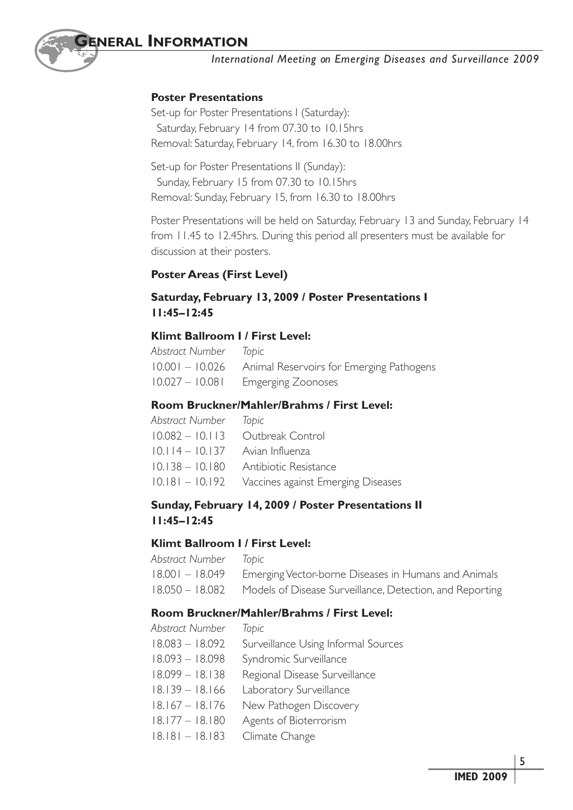#### **Poster Presentations**

Set-up for Poster Presentations I (Saturday): Saturday, February 14 from 07.30 to 10.15hrs Removal: Saturday, February 14, from 16.30 to 18.00hrs

Set-up for Poster Presentations II (Sunday): Sunday, February 15 from 07.30 to 10.15hrs Removal: Sunday, February 15, from 16.30 to 18.00hrs

Poster Presentations will be held on Saturday, February 13 and Sunday, February 14 from 11.45 to 12.45hrs. During this period all presenters must be available for discussion at their posters.

#### **Poster Areas (First Level)**

#### **Saturday, February 13, 2009 / Poster Presentations I 11:45–12:45**

#### **Klimt Ballroom I / First Level:**

| Abstract Number Topic |                                                          |
|-----------------------|----------------------------------------------------------|
|                       | 10.001 - 10.026 Animal Reservoirs for Emerging Pathogens |
|                       | 10.027 - 10.081 Emgerging Zoonoses                       |

#### **Room Bruckner/Mahler/Brahms / First Level:**

| Abstract Number Topic             |                                                    |
|-----------------------------------|----------------------------------------------------|
|                                   | $10.082 - 10.113$ Outbreak Control                 |
| $10.114 - 10.137$ Avian Influenza |                                                    |
|                                   | 10.138 - 10.180 Antibiotic Resistance              |
|                                   | 10.181 - 10.192 Vaccines against Emerging Diseases |

#### **Sunday, February 14, 2009 / Poster Presentations II 11:45–12:45**

#### **Klimt Ballroom I / First Level:**

| Abstract Number — Topic |                                                                          |
|-------------------------|--------------------------------------------------------------------------|
|                         | 18.001 – 18.049 Emerging Vector-borne Diseases in Humans and Animals     |
|                         | 18.050 – 18.082 Models of Disease Surveillance, Detection, and Reporting |

#### **Room Bruckner/Mahler/Brahms / First Level:**

| Abstract Number   | Topic                               |
|-------------------|-------------------------------------|
| $18.083 - 18.092$ | Surveillance Using Informal Sources |
| $18.093 - 18.098$ | Syndromic Surveillance              |
| $18.099 - 18.138$ | Regional Disease Surveillance       |
| $18.139 - 18.166$ | Laboratory Surveillance             |
| $18.167 - 18.176$ | New Pathogen Discovery              |
| $18.177 - 18.180$ | Agents of Bioterrorism              |
| $18.181 - 18.183$ | Climate Change                      |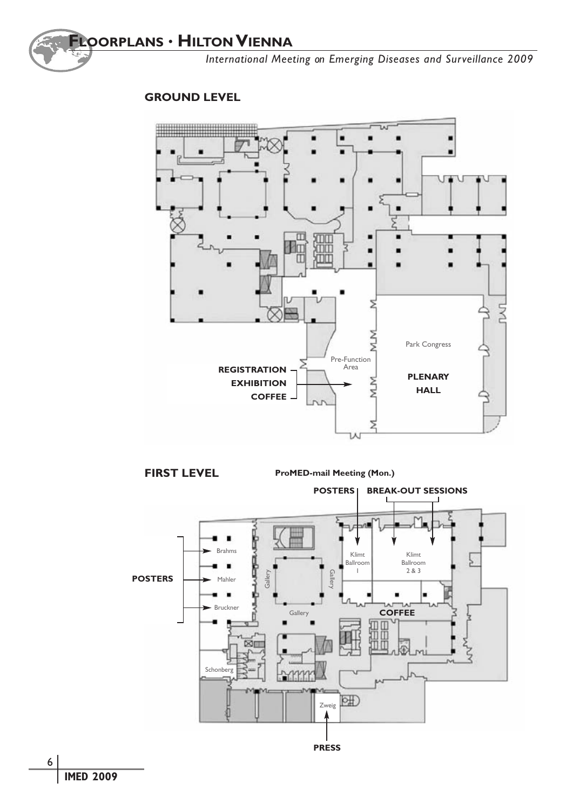

#### **GROUND LEVEL**



**FIRST LEVEL**

**ProMED-mail Meeting (Mon.)**

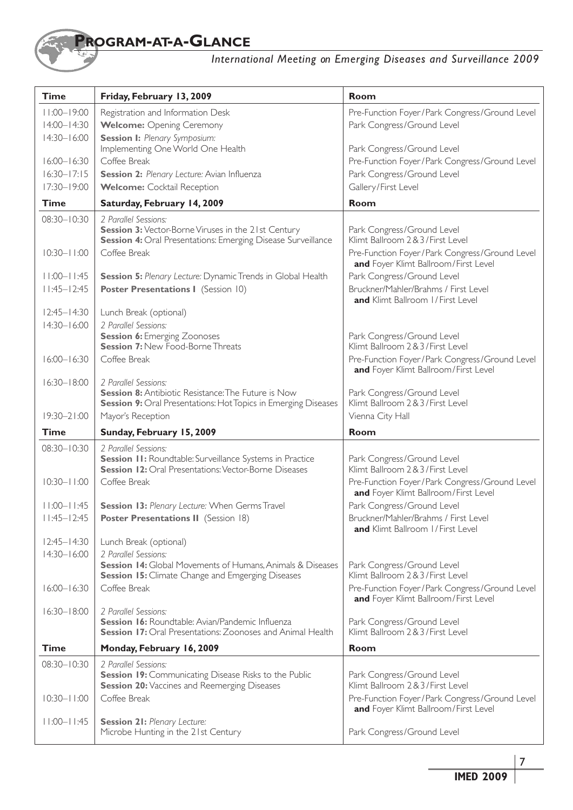## **PROGRAM-AT-A-GLANCE**

### *International Meeting on Emerging Diseases and Surveillance 2009*

| $11:00 - 19:00$<br>Pre-Function Foyer/Park Congress/Ground Level<br>Registration and Information Desk<br>$14:00 - 14:30$<br><b>Welcome:</b> Opening Ceremony<br>Park Congress/Ground Level<br>$14:30 - 16:00$<br><b>Session I:</b> Plenary Symposium:<br>Implementing One World One Health<br>Park Congress/Ground Level<br>$16:00 - 16:30$<br>Coffee Break<br>Pre-Function Foyer/Park Congress/Ground Level<br>$16:30 - 17:15$<br>Session 2: Plenary Lecture: Avian Influenza<br>Park Congress/Ground Level<br>17:30-19:00<br>Gallery/First Level<br><b>Welcome:</b> Cocktail Reception<br>Room<br><b>Time</b><br>Saturday, February 14, 2009<br>$08:30 - 10:30$<br>2 Parallel Sessions:<br>Session 3: Vector-Borne Viruses in the 21st Century<br>Park Congress/Ground Level<br><b>Session 4: Oral Presentations: Emerging Disease Surveillance</b><br>Klimt Ballroom 2 & 3 / First Level<br>$10:30 - 11:00$<br>Coffee Break<br>Pre-Function Foyer/Park Congress/Ground Level<br>and Foyer Klimt Ballroom/First Level<br>Park Congress/Ground Level<br>$11:00 - 11:45$<br><b>Session 5:</b> Plenary Lecture: Dynamic Trends in Global Health<br>Bruckner/Mahler/Brahms / First Level<br>$11:45 - 12:45$<br>Poster Presentations I (Session 10)<br>and Klimt Ballroom I/First Level<br>$12:45 - 14:30$<br>Lunch Break (optional)<br>$14:30 - 16:00$<br>2 Parallel Sessions:<br><b>Session 6:</b> Emerging Zoonoses<br>Park Congress/Ground Level<br><b>Session 7: New Food-Borne Threats</b><br>Klimt Ballroom 2 & 3 / First Level<br>$16:00 - 16:30$<br>Coffee Break<br>Pre-Function Foyer/Park Congress/Ground Level<br>and Foyer Klimt Ballroom/First Level<br>$16:30 - 18:00$<br>2 Parallel Sessions:<br><b>Session 8:</b> Antibiotic Resistance: The Future is Now<br>Park Congress/Ground Level<br><b>Session 9:</b> Oral Presentations: Hot Topics in Emerging Diseases<br>Klimt Ballroom 2 & 3 / First Level<br>$19:30 - 21:00$<br>Vienna City Hall<br>Mayor's Reception<br><b>Time</b><br>Sunday, February 15, 2009<br><b>Room</b><br>$08:30 - 10:30$<br>2 Parallel Sessions:<br>Session 11: Roundtable: Surveillance Systems in Practice<br>Park Congress/Ground Level<br><b>Session 12: Oral Presentations: Vector-Borne Diseases</b><br>Klimt Ballroom 2 & 3 / First Level<br>$10:30 - 1:00$<br>Coffee Break<br>Pre-Function Foyer/Park Congress/Ground Level<br>and Foyer Klimt Ballroom/First Level<br>$11:00 - 11:45$<br>Park Congress/Ground Level<br>Session 13: Plenary Lecture: When Germs Travel<br>$11:45 - 12:45$<br><b>Poster Presentations II</b> (Session 18)<br>Bruckner/Mahler/Brahms / First Level<br><b>and</b> Klimt Ballroom I/First Level<br>$12:45 - 14:30$<br>Lunch Break (optional)<br>$14:30 - 16:00$<br>2 Parallel Sessions:<br><b>Session 14:</b> Global Movements of Humans, Animals & Diseases<br>Park Congress/Ground Level<br>Klimt Ballroom 2 & 3 / First Level<br><b>Session 15:</b> Climate Change and Emgerging Diseases<br>$16:00 - 16:30$<br>Coffee Break<br>Pre-Function Foyer/Park Congress/Ground Level<br>and Foyer Klimt Ballroom/First Level<br>2 Parallel Sessions:<br>$16:30 - 18:00$<br>Session 16: Roundtable: Avian/Pandemic Influenza<br>Park Congress/Ground Level<br><b>Session 17: Oral Presentations: Zoonoses and Animal Health</b><br>Klimt Ballroom 2 & 3 / First Level<br><b>Time</b><br>Monday, February 16, 2009<br><b>Room</b><br>08:30-10:30<br>2 Parallel Sessions:<br><b>Session 19: Communicating Disease Risks to the Public</b><br>Park Congress/Ground Level<br>Klimt Ballroom 2&3/First Level<br>Session 20: Vaccines and Reemerging Diseases<br>Coffee Break<br>$10:30 - 11:00$<br>Pre-Function Foyer/Park Congress/Ground Level<br>and Foyer Klimt Ballroom/First Level<br>$11:00 - 11:45$<br><b>Session 21: Plenary Lecture:</b> | <b>Time</b> | Friday, February 13, 2009           | Room                       |
|---------------------------------------------------------------------------------------------------------------------------------------------------------------------------------------------------------------------------------------------------------------------------------------------------------------------------------------------------------------------------------------------------------------------------------------------------------------------------------------------------------------------------------------------------------------------------------------------------------------------------------------------------------------------------------------------------------------------------------------------------------------------------------------------------------------------------------------------------------------------------------------------------------------------------------------------------------------------------------------------------------------------------------------------------------------------------------------------------------------------------------------------------------------------------------------------------------------------------------------------------------------------------------------------------------------------------------------------------------------------------------------------------------------------------------------------------------------------------------------------------------------------------------------------------------------------------------------------------------------------------------------------------------------------------------------------------------------------------------------------------------------------------------------------------------------------------------------------------------------------------------------------------------------------------------------------------------------------------------------------------------------------------------------------------------------------------------------------------------------------------------------------------------------------------------------------------------------------------------------------------------------------------------------------------------------------------------------------------------------------------------------------------------------------------------------------------------------------------------------------------------------------------------------------------------------------------------------------------------------------------------------------------------------------------------------------------------------------------------------------------------------------------------------------------------------------------------------------------------------------------------------------------------------------------------------------------------------------------------------------------------------------------------------------------------------------------------------------------------------------------------------------------------------------------------------------------------------------------------------------------------------------------------------------------------------------------------------------------------------------------------------------------------------------------------------------------------------------------------------------------------------------------------------------------------------------------------------------------------------------------------------------------------------------------------------------------------------------------------------------------------------------------------------------------------------------|-------------|-------------------------------------|----------------------------|
|                                                                                                                                                                                                                                                                                                                                                                                                                                                                                                                                                                                                                                                                                                                                                                                                                                                                                                                                                                                                                                                                                                                                                                                                                                                                                                                                                                                                                                                                                                                                                                                                                                                                                                                                                                                                                                                                                                                                                                                                                                                                                                                                                                                                                                                                                                                                                                                                                                                                                                                                                                                                                                                                                                                                                                                                                                                                                                                                                                                                                                                                                                                                                                                                                                                                                                                                                                                                                                                                                                                                                                                                                                                                                                                                                                                                                     |             |                                     |                            |
|                                                                                                                                                                                                                                                                                                                                                                                                                                                                                                                                                                                                                                                                                                                                                                                                                                                                                                                                                                                                                                                                                                                                                                                                                                                                                                                                                                                                                                                                                                                                                                                                                                                                                                                                                                                                                                                                                                                                                                                                                                                                                                                                                                                                                                                                                                                                                                                                                                                                                                                                                                                                                                                                                                                                                                                                                                                                                                                                                                                                                                                                                                                                                                                                                                                                                                                                                                                                                                                                                                                                                                                                                                                                                                                                                                                                                     |             |                                     |                            |
|                                                                                                                                                                                                                                                                                                                                                                                                                                                                                                                                                                                                                                                                                                                                                                                                                                                                                                                                                                                                                                                                                                                                                                                                                                                                                                                                                                                                                                                                                                                                                                                                                                                                                                                                                                                                                                                                                                                                                                                                                                                                                                                                                                                                                                                                                                                                                                                                                                                                                                                                                                                                                                                                                                                                                                                                                                                                                                                                                                                                                                                                                                                                                                                                                                                                                                                                                                                                                                                                                                                                                                                                                                                                                                                                                                                                                     |             |                                     |                            |
|                                                                                                                                                                                                                                                                                                                                                                                                                                                                                                                                                                                                                                                                                                                                                                                                                                                                                                                                                                                                                                                                                                                                                                                                                                                                                                                                                                                                                                                                                                                                                                                                                                                                                                                                                                                                                                                                                                                                                                                                                                                                                                                                                                                                                                                                                                                                                                                                                                                                                                                                                                                                                                                                                                                                                                                                                                                                                                                                                                                                                                                                                                                                                                                                                                                                                                                                                                                                                                                                                                                                                                                                                                                                                                                                                                                                                     |             |                                     |                            |
|                                                                                                                                                                                                                                                                                                                                                                                                                                                                                                                                                                                                                                                                                                                                                                                                                                                                                                                                                                                                                                                                                                                                                                                                                                                                                                                                                                                                                                                                                                                                                                                                                                                                                                                                                                                                                                                                                                                                                                                                                                                                                                                                                                                                                                                                                                                                                                                                                                                                                                                                                                                                                                                                                                                                                                                                                                                                                                                                                                                                                                                                                                                                                                                                                                                                                                                                                                                                                                                                                                                                                                                                                                                                                                                                                                                                                     |             |                                     |                            |
|                                                                                                                                                                                                                                                                                                                                                                                                                                                                                                                                                                                                                                                                                                                                                                                                                                                                                                                                                                                                                                                                                                                                                                                                                                                                                                                                                                                                                                                                                                                                                                                                                                                                                                                                                                                                                                                                                                                                                                                                                                                                                                                                                                                                                                                                                                                                                                                                                                                                                                                                                                                                                                                                                                                                                                                                                                                                                                                                                                                                                                                                                                                                                                                                                                                                                                                                                                                                                                                                                                                                                                                                                                                                                                                                                                                                                     |             |                                     |                            |
|                                                                                                                                                                                                                                                                                                                                                                                                                                                                                                                                                                                                                                                                                                                                                                                                                                                                                                                                                                                                                                                                                                                                                                                                                                                                                                                                                                                                                                                                                                                                                                                                                                                                                                                                                                                                                                                                                                                                                                                                                                                                                                                                                                                                                                                                                                                                                                                                                                                                                                                                                                                                                                                                                                                                                                                                                                                                                                                                                                                                                                                                                                                                                                                                                                                                                                                                                                                                                                                                                                                                                                                                                                                                                                                                                                                                                     |             |                                     |                            |
|                                                                                                                                                                                                                                                                                                                                                                                                                                                                                                                                                                                                                                                                                                                                                                                                                                                                                                                                                                                                                                                                                                                                                                                                                                                                                                                                                                                                                                                                                                                                                                                                                                                                                                                                                                                                                                                                                                                                                                                                                                                                                                                                                                                                                                                                                                                                                                                                                                                                                                                                                                                                                                                                                                                                                                                                                                                                                                                                                                                                                                                                                                                                                                                                                                                                                                                                                                                                                                                                                                                                                                                                                                                                                                                                                                                                                     |             |                                     |                            |
|                                                                                                                                                                                                                                                                                                                                                                                                                                                                                                                                                                                                                                                                                                                                                                                                                                                                                                                                                                                                                                                                                                                                                                                                                                                                                                                                                                                                                                                                                                                                                                                                                                                                                                                                                                                                                                                                                                                                                                                                                                                                                                                                                                                                                                                                                                                                                                                                                                                                                                                                                                                                                                                                                                                                                                                                                                                                                                                                                                                                                                                                                                                                                                                                                                                                                                                                                                                                                                                                                                                                                                                                                                                                                                                                                                                                                     |             |                                     |                            |
|                                                                                                                                                                                                                                                                                                                                                                                                                                                                                                                                                                                                                                                                                                                                                                                                                                                                                                                                                                                                                                                                                                                                                                                                                                                                                                                                                                                                                                                                                                                                                                                                                                                                                                                                                                                                                                                                                                                                                                                                                                                                                                                                                                                                                                                                                                                                                                                                                                                                                                                                                                                                                                                                                                                                                                                                                                                                                                                                                                                                                                                                                                                                                                                                                                                                                                                                                                                                                                                                                                                                                                                                                                                                                                                                                                                                                     |             |                                     |                            |
|                                                                                                                                                                                                                                                                                                                                                                                                                                                                                                                                                                                                                                                                                                                                                                                                                                                                                                                                                                                                                                                                                                                                                                                                                                                                                                                                                                                                                                                                                                                                                                                                                                                                                                                                                                                                                                                                                                                                                                                                                                                                                                                                                                                                                                                                                                                                                                                                                                                                                                                                                                                                                                                                                                                                                                                                                                                                                                                                                                                                                                                                                                                                                                                                                                                                                                                                                                                                                                                                                                                                                                                                                                                                                                                                                                                                                     |             |                                     |                            |
|                                                                                                                                                                                                                                                                                                                                                                                                                                                                                                                                                                                                                                                                                                                                                                                                                                                                                                                                                                                                                                                                                                                                                                                                                                                                                                                                                                                                                                                                                                                                                                                                                                                                                                                                                                                                                                                                                                                                                                                                                                                                                                                                                                                                                                                                                                                                                                                                                                                                                                                                                                                                                                                                                                                                                                                                                                                                                                                                                                                                                                                                                                                                                                                                                                                                                                                                                                                                                                                                                                                                                                                                                                                                                                                                                                                                                     |             |                                     |                            |
|                                                                                                                                                                                                                                                                                                                                                                                                                                                                                                                                                                                                                                                                                                                                                                                                                                                                                                                                                                                                                                                                                                                                                                                                                                                                                                                                                                                                                                                                                                                                                                                                                                                                                                                                                                                                                                                                                                                                                                                                                                                                                                                                                                                                                                                                                                                                                                                                                                                                                                                                                                                                                                                                                                                                                                                                                                                                                                                                                                                                                                                                                                                                                                                                                                                                                                                                                                                                                                                                                                                                                                                                                                                                                                                                                                                                                     |             |                                     |                            |
|                                                                                                                                                                                                                                                                                                                                                                                                                                                                                                                                                                                                                                                                                                                                                                                                                                                                                                                                                                                                                                                                                                                                                                                                                                                                                                                                                                                                                                                                                                                                                                                                                                                                                                                                                                                                                                                                                                                                                                                                                                                                                                                                                                                                                                                                                                                                                                                                                                                                                                                                                                                                                                                                                                                                                                                                                                                                                                                                                                                                                                                                                                                                                                                                                                                                                                                                                                                                                                                                                                                                                                                                                                                                                                                                                                                                                     |             |                                     |                            |
|                                                                                                                                                                                                                                                                                                                                                                                                                                                                                                                                                                                                                                                                                                                                                                                                                                                                                                                                                                                                                                                                                                                                                                                                                                                                                                                                                                                                                                                                                                                                                                                                                                                                                                                                                                                                                                                                                                                                                                                                                                                                                                                                                                                                                                                                                                                                                                                                                                                                                                                                                                                                                                                                                                                                                                                                                                                                                                                                                                                                                                                                                                                                                                                                                                                                                                                                                                                                                                                                                                                                                                                                                                                                                                                                                                                                                     |             |                                     |                            |
|                                                                                                                                                                                                                                                                                                                                                                                                                                                                                                                                                                                                                                                                                                                                                                                                                                                                                                                                                                                                                                                                                                                                                                                                                                                                                                                                                                                                                                                                                                                                                                                                                                                                                                                                                                                                                                                                                                                                                                                                                                                                                                                                                                                                                                                                                                                                                                                                                                                                                                                                                                                                                                                                                                                                                                                                                                                                                                                                                                                                                                                                                                                                                                                                                                                                                                                                                                                                                                                                                                                                                                                                                                                                                                                                                                                                                     |             |                                     |                            |
|                                                                                                                                                                                                                                                                                                                                                                                                                                                                                                                                                                                                                                                                                                                                                                                                                                                                                                                                                                                                                                                                                                                                                                                                                                                                                                                                                                                                                                                                                                                                                                                                                                                                                                                                                                                                                                                                                                                                                                                                                                                                                                                                                                                                                                                                                                                                                                                                                                                                                                                                                                                                                                                                                                                                                                                                                                                                                                                                                                                                                                                                                                                                                                                                                                                                                                                                                                                                                                                                                                                                                                                                                                                                                                                                                                                                                     |             |                                     |                            |
|                                                                                                                                                                                                                                                                                                                                                                                                                                                                                                                                                                                                                                                                                                                                                                                                                                                                                                                                                                                                                                                                                                                                                                                                                                                                                                                                                                                                                                                                                                                                                                                                                                                                                                                                                                                                                                                                                                                                                                                                                                                                                                                                                                                                                                                                                                                                                                                                                                                                                                                                                                                                                                                                                                                                                                                                                                                                                                                                                                                                                                                                                                                                                                                                                                                                                                                                                                                                                                                                                                                                                                                                                                                                                                                                                                                                                     |             |                                     |                            |
|                                                                                                                                                                                                                                                                                                                                                                                                                                                                                                                                                                                                                                                                                                                                                                                                                                                                                                                                                                                                                                                                                                                                                                                                                                                                                                                                                                                                                                                                                                                                                                                                                                                                                                                                                                                                                                                                                                                                                                                                                                                                                                                                                                                                                                                                                                                                                                                                                                                                                                                                                                                                                                                                                                                                                                                                                                                                                                                                                                                                                                                                                                                                                                                                                                                                                                                                                                                                                                                                                                                                                                                                                                                                                                                                                                                                                     |             |                                     |                            |
|                                                                                                                                                                                                                                                                                                                                                                                                                                                                                                                                                                                                                                                                                                                                                                                                                                                                                                                                                                                                                                                                                                                                                                                                                                                                                                                                                                                                                                                                                                                                                                                                                                                                                                                                                                                                                                                                                                                                                                                                                                                                                                                                                                                                                                                                                                                                                                                                                                                                                                                                                                                                                                                                                                                                                                                                                                                                                                                                                                                                                                                                                                                                                                                                                                                                                                                                                                                                                                                                                                                                                                                                                                                                                                                                                                                                                     |             |                                     |                            |
|                                                                                                                                                                                                                                                                                                                                                                                                                                                                                                                                                                                                                                                                                                                                                                                                                                                                                                                                                                                                                                                                                                                                                                                                                                                                                                                                                                                                                                                                                                                                                                                                                                                                                                                                                                                                                                                                                                                                                                                                                                                                                                                                                                                                                                                                                                                                                                                                                                                                                                                                                                                                                                                                                                                                                                                                                                                                                                                                                                                                                                                                                                                                                                                                                                                                                                                                                                                                                                                                                                                                                                                                                                                                                                                                                                                                                     |             |                                     |                            |
|                                                                                                                                                                                                                                                                                                                                                                                                                                                                                                                                                                                                                                                                                                                                                                                                                                                                                                                                                                                                                                                                                                                                                                                                                                                                                                                                                                                                                                                                                                                                                                                                                                                                                                                                                                                                                                                                                                                                                                                                                                                                                                                                                                                                                                                                                                                                                                                                                                                                                                                                                                                                                                                                                                                                                                                                                                                                                                                                                                                                                                                                                                                                                                                                                                                                                                                                                                                                                                                                                                                                                                                                                                                                                                                                                                                                                     |             |                                     |                            |
|                                                                                                                                                                                                                                                                                                                                                                                                                                                                                                                                                                                                                                                                                                                                                                                                                                                                                                                                                                                                                                                                                                                                                                                                                                                                                                                                                                                                                                                                                                                                                                                                                                                                                                                                                                                                                                                                                                                                                                                                                                                                                                                                                                                                                                                                                                                                                                                                                                                                                                                                                                                                                                                                                                                                                                                                                                                                                                                                                                                                                                                                                                                                                                                                                                                                                                                                                                                                                                                                                                                                                                                                                                                                                                                                                                                                                     |             |                                     |                            |
|                                                                                                                                                                                                                                                                                                                                                                                                                                                                                                                                                                                                                                                                                                                                                                                                                                                                                                                                                                                                                                                                                                                                                                                                                                                                                                                                                                                                                                                                                                                                                                                                                                                                                                                                                                                                                                                                                                                                                                                                                                                                                                                                                                                                                                                                                                                                                                                                                                                                                                                                                                                                                                                                                                                                                                                                                                                                                                                                                                                                                                                                                                                                                                                                                                                                                                                                                                                                                                                                                                                                                                                                                                                                                                                                                                                                                     |             |                                     |                            |
|                                                                                                                                                                                                                                                                                                                                                                                                                                                                                                                                                                                                                                                                                                                                                                                                                                                                                                                                                                                                                                                                                                                                                                                                                                                                                                                                                                                                                                                                                                                                                                                                                                                                                                                                                                                                                                                                                                                                                                                                                                                                                                                                                                                                                                                                                                                                                                                                                                                                                                                                                                                                                                                                                                                                                                                                                                                                                                                                                                                                                                                                                                                                                                                                                                                                                                                                                                                                                                                                                                                                                                                                                                                                                                                                                                                                                     |             |                                     |                            |
|                                                                                                                                                                                                                                                                                                                                                                                                                                                                                                                                                                                                                                                                                                                                                                                                                                                                                                                                                                                                                                                                                                                                                                                                                                                                                                                                                                                                                                                                                                                                                                                                                                                                                                                                                                                                                                                                                                                                                                                                                                                                                                                                                                                                                                                                                                                                                                                                                                                                                                                                                                                                                                                                                                                                                                                                                                                                                                                                                                                                                                                                                                                                                                                                                                                                                                                                                                                                                                                                                                                                                                                                                                                                                                                                                                                                                     |             |                                     |                            |
|                                                                                                                                                                                                                                                                                                                                                                                                                                                                                                                                                                                                                                                                                                                                                                                                                                                                                                                                                                                                                                                                                                                                                                                                                                                                                                                                                                                                                                                                                                                                                                                                                                                                                                                                                                                                                                                                                                                                                                                                                                                                                                                                                                                                                                                                                                                                                                                                                                                                                                                                                                                                                                                                                                                                                                                                                                                                                                                                                                                                                                                                                                                                                                                                                                                                                                                                                                                                                                                                                                                                                                                                                                                                                                                                                                                                                     |             |                                     |                            |
|                                                                                                                                                                                                                                                                                                                                                                                                                                                                                                                                                                                                                                                                                                                                                                                                                                                                                                                                                                                                                                                                                                                                                                                                                                                                                                                                                                                                                                                                                                                                                                                                                                                                                                                                                                                                                                                                                                                                                                                                                                                                                                                                                                                                                                                                                                                                                                                                                                                                                                                                                                                                                                                                                                                                                                                                                                                                                                                                                                                                                                                                                                                                                                                                                                                                                                                                                                                                                                                                                                                                                                                                                                                                                                                                                                                                                     |             |                                     |                            |
|                                                                                                                                                                                                                                                                                                                                                                                                                                                                                                                                                                                                                                                                                                                                                                                                                                                                                                                                                                                                                                                                                                                                                                                                                                                                                                                                                                                                                                                                                                                                                                                                                                                                                                                                                                                                                                                                                                                                                                                                                                                                                                                                                                                                                                                                                                                                                                                                                                                                                                                                                                                                                                                                                                                                                                                                                                                                                                                                                                                                                                                                                                                                                                                                                                                                                                                                                                                                                                                                                                                                                                                                                                                                                                                                                                                                                     |             |                                     |                            |
|                                                                                                                                                                                                                                                                                                                                                                                                                                                                                                                                                                                                                                                                                                                                                                                                                                                                                                                                                                                                                                                                                                                                                                                                                                                                                                                                                                                                                                                                                                                                                                                                                                                                                                                                                                                                                                                                                                                                                                                                                                                                                                                                                                                                                                                                                                                                                                                                                                                                                                                                                                                                                                                                                                                                                                                                                                                                                                                                                                                                                                                                                                                                                                                                                                                                                                                                                                                                                                                                                                                                                                                                                                                                                                                                                                                                                     |             |                                     |                            |
|                                                                                                                                                                                                                                                                                                                                                                                                                                                                                                                                                                                                                                                                                                                                                                                                                                                                                                                                                                                                                                                                                                                                                                                                                                                                                                                                                                                                                                                                                                                                                                                                                                                                                                                                                                                                                                                                                                                                                                                                                                                                                                                                                                                                                                                                                                                                                                                                                                                                                                                                                                                                                                                                                                                                                                                                                                                                                                                                                                                                                                                                                                                                                                                                                                                                                                                                                                                                                                                                                                                                                                                                                                                                                                                                                                                                                     |             |                                     |                            |
|                                                                                                                                                                                                                                                                                                                                                                                                                                                                                                                                                                                                                                                                                                                                                                                                                                                                                                                                                                                                                                                                                                                                                                                                                                                                                                                                                                                                                                                                                                                                                                                                                                                                                                                                                                                                                                                                                                                                                                                                                                                                                                                                                                                                                                                                                                                                                                                                                                                                                                                                                                                                                                                                                                                                                                                                                                                                                                                                                                                                                                                                                                                                                                                                                                                                                                                                                                                                                                                                                                                                                                                                                                                                                                                                                                                                                     |             |                                     |                            |
|                                                                                                                                                                                                                                                                                                                                                                                                                                                                                                                                                                                                                                                                                                                                                                                                                                                                                                                                                                                                                                                                                                                                                                                                                                                                                                                                                                                                                                                                                                                                                                                                                                                                                                                                                                                                                                                                                                                                                                                                                                                                                                                                                                                                                                                                                                                                                                                                                                                                                                                                                                                                                                                                                                                                                                                                                                                                                                                                                                                                                                                                                                                                                                                                                                                                                                                                                                                                                                                                                                                                                                                                                                                                                                                                                                                                                     |             |                                     |                            |
|                                                                                                                                                                                                                                                                                                                                                                                                                                                                                                                                                                                                                                                                                                                                                                                                                                                                                                                                                                                                                                                                                                                                                                                                                                                                                                                                                                                                                                                                                                                                                                                                                                                                                                                                                                                                                                                                                                                                                                                                                                                                                                                                                                                                                                                                                                                                                                                                                                                                                                                                                                                                                                                                                                                                                                                                                                                                                                                                                                                                                                                                                                                                                                                                                                                                                                                                                                                                                                                                                                                                                                                                                                                                                                                                                                                                                     |             | Microbe Hunting in the 21st Century | Park Congress/Ground Level |

**IMED 2009**

7